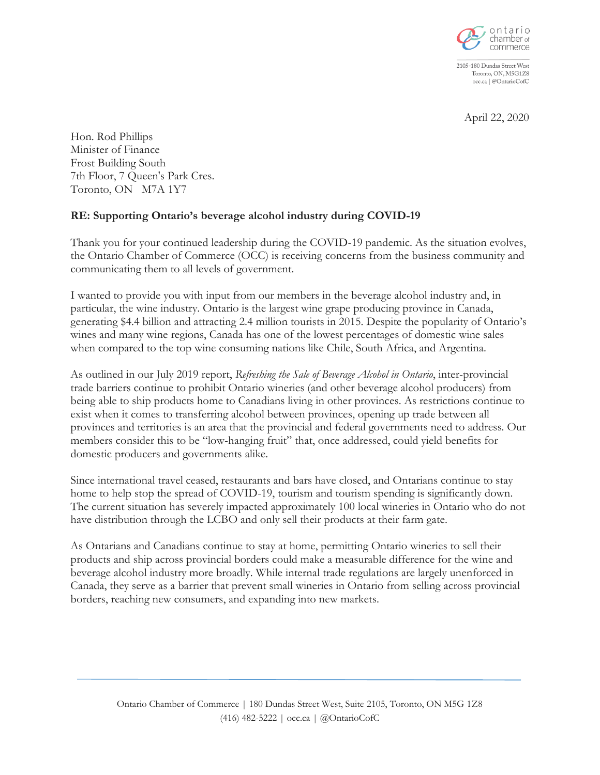

2105-180 Dundas Street West Toronto, ON, M5G1Z8 occ.ca | @OntarioCofC

April 22, 2020

Hon. Rod Phillips Minister of Finance Frost Building South 7th Floor, 7 Queen's Park Cres. Toronto, ON M7A 1Y7

## **RE: Supporting Ontario's beverage alcohol industry during COVID-19**

Thank you for your continued leadership during the COVID-19 pandemic. As the situation evolves, the Ontario Chamber of Commerce (OCC) is receiving concerns from the business community and communicating them to all levels of government.

I wanted to provide you with input from our members in the beverage alcohol industry and, in particular, the wine industry. Ontario is the largest wine grape producing province in Canada, generating \$4.4 billion and attracting 2.4 million tourists in 2015. Despite the popularity of Ontario's wines and many wine regions, Canada has one of the lowest percentages of domestic wine sales when compared to the top wine consuming nations like Chile, South Africa, and Argentina.

As outlined in our July 2019 report, *Refreshing the Sale of Beverage Alcohol in Ontario*, inter-provincial trade barriers continue to prohibit Ontario wineries (and other beverage alcohol producers) from being able to ship products home to Canadians living in other provinces. As restrictions continue to exist when it comes to transferring alcohol between provinces, opening up trade between all provinces and territories is an area that the provincial and federal governments need to address. Our members consider this to be "low-hanging fruit" that, once addressed, could yield benefits for domestic producers and governments alike.

Since international travel ceased, restaurants and bars have closed, and Ontarians continue to stay home to help stop the spread of COVID-19, tourism and tourism spending is significantly down. The current situation has severely impacted approximately 100 local wineries in Ontario who do not have distribution through the LCBO and only sell their products at their farm gate.

As Ontarians and Canadians continue to stay at home, permitting Ontario wineries to sell their products and ship across provincial borders could make a measurable difference for the wine and beverage alcohol industry more broadly. While internal trade regulations are largely unenforced in Canada, they serve as a barrier that prevent small wineries in Ontario from selling across provincial borders, reaching new consumers, and expanding into new markets.